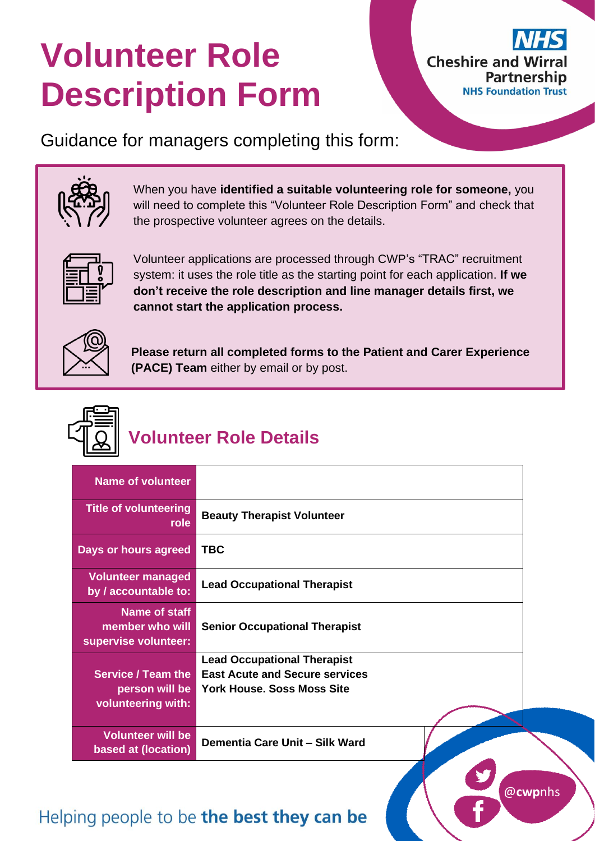# **Volunteer Role Description Form**



@**cwp**nhs

Guidance for managers completing this form:



When you have **identified a suitable volunteering role for someone,** you will need to complete this "Volunteer Role Description Form" and check that the prospective volunteer agrees on the details.



Volunteer applications are processed through CWP's "TRAC" recruitment system: it uses the role title as the starting point for each application. **If we don't receive the role description and line manager details first, we cannot start the application process.**



**Please return all completed forms to the Patient and Carer Experience (PACE) Team** either by email or by post.



## **Volunteer Role Details**

| <b>Name of volunteer</b>                                          |                                                                                                           |
|-------------------------------------------------------------------|-----------------------------------------------------------------------------------------------------------|
| <b>Title of volunteering</b><br>role                              | <b>Beauty Therapist Volunteer</b>                                                                         |
| Days or hours agreed                                              | <b>TBC</b>                                                                                                |
| <b>Volunteer managed</b><br>by / accountable to:                  | <b>Lead Occupational Therapist</b>                                                                        |
| Name of staff<br>member who will<br>supervise volunteer:          | <b>Senior Occupational Therapist</b>                                                                      |
| <b>Service / Team the</b><br>person will be<br>volunteering with: | <b>Lead Occupational Therapist</b><br><b>East Acute and Secure services</b><br>York House, Soss Moss Site |
| <b>Volunteer will be</b><br>based at (location)                   | Dementia Care Unit - Silk Ward                                                                            |

## Helping people to be the best they can be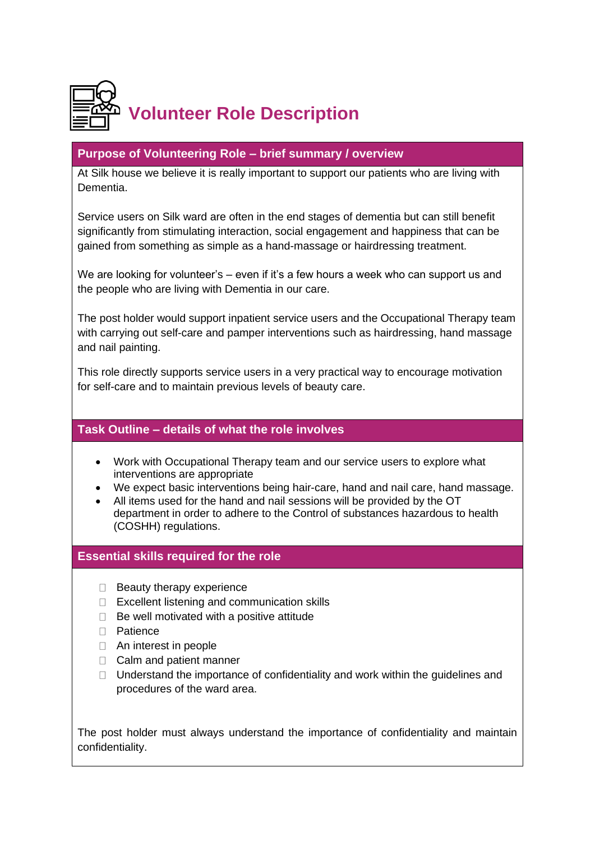

#### **Purpose of Volunteering Role – brief summary / overview**

At Silk house we believe it is really important to support our patients who are living with Dementia.

Service users on Silk ward are often in the end stages of dementia but can still benefit significantly from stimulating interaction, social engagement and happiness that can be gained from something as simple as a hand-massage or hairdressing treatment.

We are looking for volunteer's - even if it's a few hours a week who can support us and the people who are living with Dementia in our care.

The post holder would support inpatient service users and the Occupational Therapy team with carrying out self-care and pamper interventions such as hairdressing, hand massage and nail painting.

This role directly supports service users in a very practical way to encourage motivation for self-care and to maintain previous levels of beauty care.

#### **Task Outline – details of what the role involves**

- Work with Occupational Therapy team and our service users to explore what interventions are appropriate
- We expect basic interventions being hair-care, hand and nail care, hand massage.
- All items used for the hand and nail sessions will be provided by the OT department in order to adhere to the Control of substances hazardous to health (COSHH) regulations.

#### **Essential skills required for the role**

- $\Box$  Beauty therapy experience
- □ Excellent listening and communication skills
- $\Box$  Be well motivated with a positive attitude
- □ Patience
- □ An interest in people
- □ Calm and patient manner
- $\Box$  Understand the importance of confidentiality and work within the quidelines and procedures of the ward area.

The post holder must always understand the importance of confidentiality and maintain confidentiality.